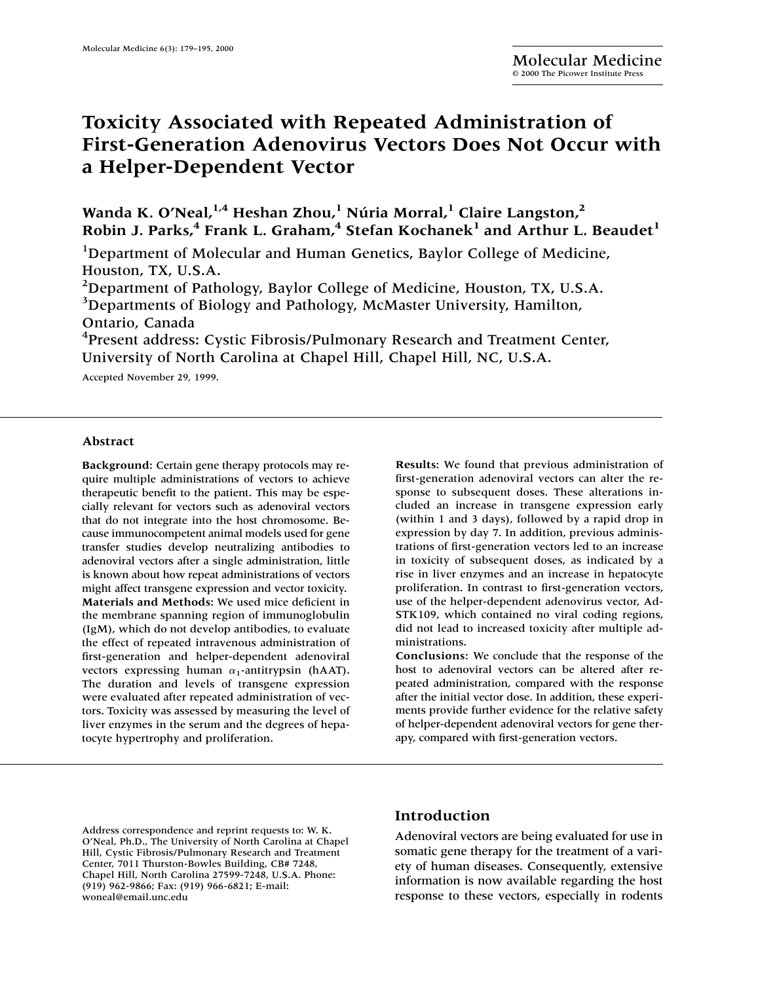# **Toxicity Associated with Repeated Administration of First-Generation Adenovirus Vectors Does Not Occur with a Helper-Dependent Vector**

**Wanda K. O'Neal,1,4 Heshan Zhou,1 Núria Morral,<sup>1</sup> Claire Langston,2 Robin J. Parks,<sup>4</sup> Frank L. Graham,<sup>4</sup> Stefan Kochanek<sup>1</sup> and Arthur L. Beaudet<sup>1</sup>** 

<sup>1</sup>Department of Molecular and Human Genetics, Baylor College of Medicine, Houston, TX, U.S.A.

 $^{2}$ Department of Pathology, Baylor College of Medicine, Houston, TX, U.S.A. <sup>3</sup>Departments of Biology and Pathology, McMaster University, Hamilton, Ontario, Canada

<sup>4</sup> Present address: Cystic Fibrosis/Pulmonary Research and Treatment Center, University of North Carolina at Chapel Hill, Chapel Hill, NC, U.S.A.

Accepted November 29, 1999.

#### **Abstract**

**Background:** Certain gene therapy protocols may require multiple administrations of vectors to achieve therapeutic benefit to the patient. This may be especially relevant for vectors such as adenoviral vectors that do not integrate into the host chromosome. Because immunocompetent animal models used for gene transfer studies develop neutralizing antibodies to adenoviral vectors after a single administration, little is known about how repeat administrations of vectors might affect transgene expression and vector toxicity. **Materials and Methods:** We used mice deficient in the membrane spanning region of immunoglobulin (IgM), which do not develop antibodies, to evaluate the effect of repeated intravenous administration of first-generation and helper-dependent adenoviral vectors expressing human  $\alpha_1$ -antitrypsin (hAAT). The duration and levels of transgene expression were evaluated after repeated administration of vectors. Toxicity was assessed by measuring the level of liver enzymes in the serum and the degrees of hepatocyte hypertrophy and proliferation.

**Results**: We found that previous administration of first-generation adenoviral vectors can alter the response to subsequent doses. These alterations included an increase in transgene expression early (within 1 and 3 days), followed by a rapid drop in expression by day 7. In addition, previous administrations of first-generation vectors led to an increase in toxicity of subsequent doses, as indicated by a rise in liver enzymes and an increase in hepatocyte proliferation. In contrast to first-generation vectors, use of the helper-dependent adenovirus vector, Ad-STK109, which contained no viral coding regions, did not lead to increased toxicity after multiple administrations.

**Conclusions:** We conclude that the response of the host to adenoviral vectors can be altered after repeated administration, compared with the response after the initial vector dose. In addition, these experiments provide further evidence for the relative safety of helper-dependent adenoviral vectors for gene therapy, compared with first-generation vectors.

Address correspondence and reprint requests to: W. K. O'Neal, Ph.D., The University of North Carolina at Chapel Hill, Cystic Fibrosis/Pulmonary Research and Treatment Center, 7011 Thurston-Bowles Building, CB# 7248, Chapel Hill, North Carolina 27599-7248, U.S.A. Phone: (919) 962-9866; Fax: (919) 966-6821; E-mail: woneal@email.unc.edu

## **Introduction**

Adenoviral vectors are being evaluated for use in somatic gene therapy for the treatment of a variety of human diseases. Consequently, extensive information is now available regarding the host response to these vectors, especially in rodents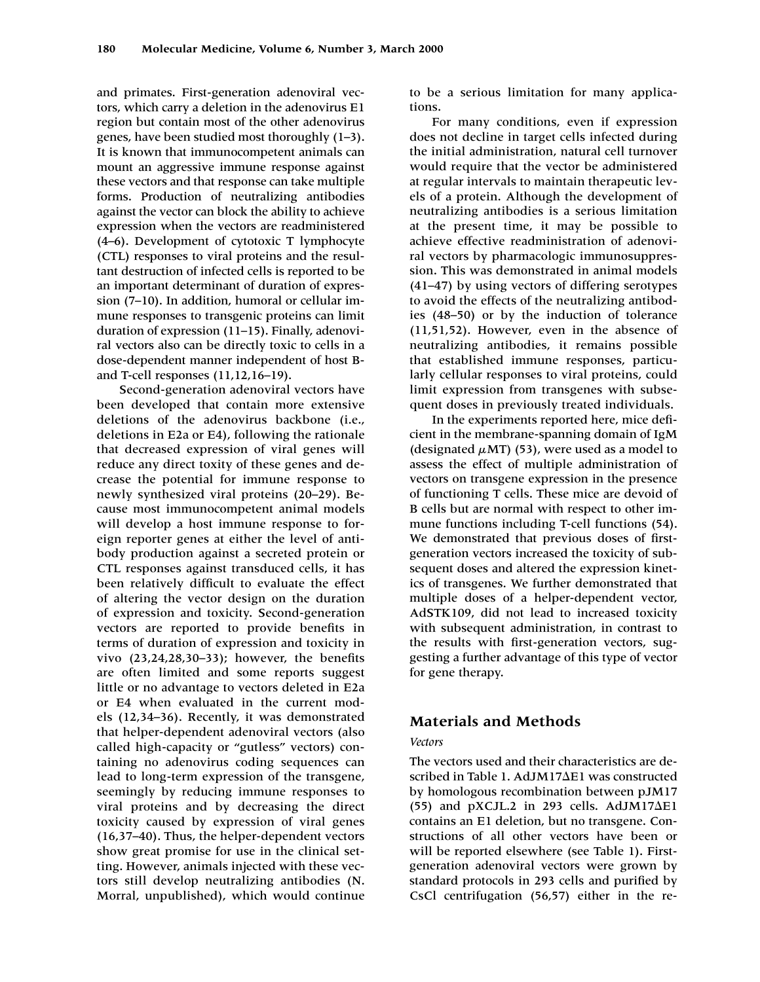and primates. First-generation adenoviral vectors, which carry a deletion in the adenovirus E1 region but contain most of the other adenovirus genes, have been studied most thoroughly (1–3). It is known that immunocompetent animals can mount an aggressive immune response against these vectors and that response can take multiple forms. Production of neutralizing antibodies against the vector can block the ability to achieve expression when the vectors are readministered (4–6). Development of cytotoxic T lymphocyte (CTL) responses to viral proteins and the resultant destruction of infected cells is reported to be an important determinant of duration of expression (7–10). In addition, humoral or cellular immune responses to transgenic proteins can limit duration of expression (11–15). Finally, adenoviral vectors also can be directly toxic to cells in a dose-dependent manner independent of host Band T-cell responses (11,12,16–19).

Second-generation adenoviral vectors have been developed that contain more extensive deletions of the adenovirus backbone (i.e., deletions in E2a or E4), following the rationale that decreased expression of viral genes will reduce any direct toxity of these genes and decrease the potential for immune response to newly synthesized viral proteins (20–29). Because most immunocompetent animal models will develop a host immune response to foreign reporter genes at either the level of antibody production against a secreted protein or CTL responses against transduced cells, it has been relatively difficult to evaluate the effect of altering the vector design on the duration of expression and toxicity. Second-generation vectors are reported to provide benefits in terms of duration of expression and toxicity in vivo (23,24,28,30–33); however, the benefits are often limited and some reports suggest little or no advantage to vectors deleted in E2a or E4 when evaluated in the current models (12,34–36). Recently, it was demonstrated that helper-dependent adenoviral vectors (also called high-capacity or "gutless" vectors) containing no adenovirus coding sequences can lead to long-term expression of the transgene, seemingly by reducing immune responses to viral proteins and by decreasing the direct toxicity caused by expression of viral genes (16,37–40). Thus, the helper-dependent vectors show great promise for use in the clinical setting. However, animals injected with these vectors still develop neutralizing antibodies (N. Morral, unpublished), which would continue

to be a serious limitation for many applications.

For many conditions, even if expression does not decline in target cells infected during the initial administration, natural cell turnover would require that the vector be administered at regular intervals to maintain therapeutic levels of a protein. Although the development of neutralizing antibodies is a serious limitation at the present time, it may be possible to achieve effective readministration of adenoviral vectors by pharmacologic immunosuppression. This was demonstrated in animal models (41–47) by using vectors of differing serotypes to avoid the effects of the neutralizing antibodies (48–50) or by the induction of tolerance (11,51,52). However, even in the absence of neutralizing antibodies, it remains possible that established immune responses, particularly cellular responses to viral proteins, could limit expression from transgenes with subsequent doses in previously treated individuals.

In the experiments reported here, mice deficient in the membrane-spanning domain of IgM (designated  $\mu$ MT) (53), were used as a model to assess the effect of multiple administration of vectors on transgene expression in the presence of functioning T cells. These mice are devoid of B cells but are normal with respect to other immune functions including T-cell functions (54). We demonstrated that previous doses of firstgeneration vectors increased the toxicity of subsequent doses and altered the expression kinetics of transgenes. We further demonstrated that multiple doses of a helper-dependent vector, AdSTK109, did not lead to increased toxicity with subsequent administration, in contrast to the results with first-generation vectors, suggesting a further advantage of this type of vector for gene therapy.

### **Materials and Methods**

### *Vectors*

The vectors used and their characteristics are described in Table 1. AdJM17 $\Delta$ E1 was constructed by homologous recombination between pJM17  $(55)$  and pXCJL.2 in 293 cells. AdJM17 $\Delta$ E1 contains an E1 deletion, but no transgene. Constructions of all other vectors have been or will be reported elsewhere (see Table 1). Firstgeneration adenoviral vectors were grown by standard protocols in 293 cells and purified by CsCl centrifugation (56,57) either in the re-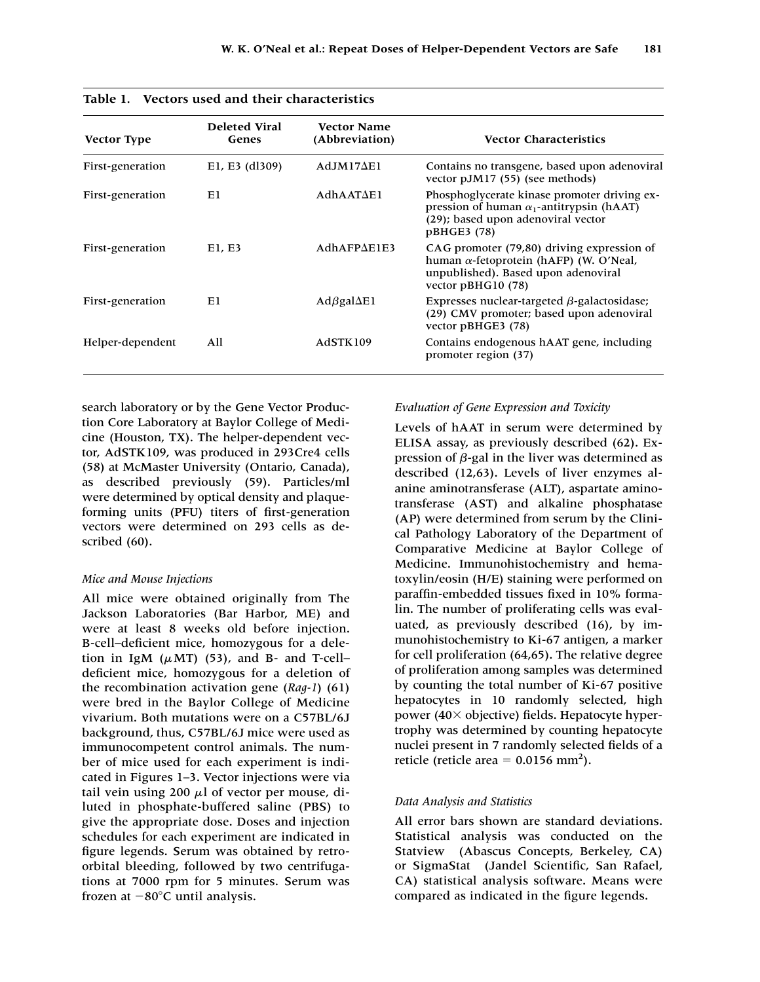| <b>Vector Type</b> | <b>Deleted Viral</b><br>Genes | <b>Vector Name</b><br>(Abbreviation) | <b>Vector Characteristics</b>                                                                                                                              |
|--------------------|-------------------------------|--------------------------------------|------------------------------------------------------------------------------------------------------------------------------------------------------------|
| First-generation   | E1, E3 (dl309)                | $AdJM17\Delta E1$                    | Contains no transgene, based upon adenoviral<br>vector pJM17 (55) (see methods)                                                                            |
| First-generation   | Εl                            | $AdhAAT\Delta E1$                    | Phosphoglycerate kinase promoter driving ex-<br>pression of human $\alpha_1$ -antitrypsin (hAAT)<br>(29); based upon adenoviral vector<br>pBHGE3 (78)      |
| First-generation   | E1, E3                        | $AdhAPP\Delta E1E3$                  | CAG promoter (79,80) driving expression of<br>human $\alpha$ -fetoprotein (hAFP) (W. O'Neal,<br>unpublished). Based upon adenoviral<br>vector $pBHG10(78)$ |
| First-generation   | Еl                            | $Ad\beta gal\Delta E1$               | Expresses nuclear-targeted $\beta$ -galactosidase;<br>(29) CMV promoter; based upon adenoviral<br>vector pBHGE3 (78)                                       |
| Helper-dependent   | All                           | <b>AdSTK109</b>                      | Contains endogenous hAAT gene, including<br>promoter region (37)                                                                                           |

**Table 1. Vectors used and their characteristics**

search laboratory or by the Gene Vector Production Core Laboratory at Baylor College of Medicine (Houston, TX). The helper-dependent vector, AdSTK109, was produced in 293Cre4 cells (58) at McMaster University (Ontario, Canada), as described previously (59). Particles/ml were determined by optical density and plaqueforming units (PFU) titers of first-generation vectors were determined on 293 cells as described (60).

#### *Mice and Mouse Injections*

All mice were obtained originally from The Jackson Laboratories (Bar Harbor, ME) and were at least 8 weeks old before injection. B-cell–deficient mice, homozygous for a deletion in IgM  $(\mu)$  (53), and B- and T-cell– deficient mice, homozygous for a deletion of the recombination activation gene (*Rag-1*) (61) were bred in the Baylor College of Medicine vivarium. Both mutations were on a C57BL/6J background, thus, C57BL/6J mice were used as immunocompetent control animals. The number of mice used for each experiment is indicated in Figures 1–3. Vector injections were via tail vein using 200  $\mu$ l of vector per mouse, diluted in phosphate-buffered saline (PBS) to give the appropriate dose. Doses and injection schedules for each experiment are indicated in figure legends. Serum was obtained by retroorbital bleeding, followed by two centrifugations at 7000 rpm for 5 minutes. Serum was frozen at  $-80^{\circ}$ C until analysis.

### *Evaluation of Gene Expression and Toxicity*

Levels of hAAT in serum were determined by ELISA assay, as previously described (62). Expression of  $\beta$ -gal in the liver was determined as described (12,63). Levels of liver enzymes alanine aminotransferase (ALT), aspartate aminotransferase (AST) and alkaline phosphatase (AP) were determined from serum by the Clinical Pathology Laboratory of the Department of Comparative Medicine at Baylor College of Medicine. Immunohistochemistry and hematoxylin/eosin (H/E) staining were performed on paraffin-embedded tissues fixed in 10% formalin. The number of proliferating cells was evaluated, as previously described (16), by immunohistochemistry to Ki-67 antigen, a marker for cell proliferation (64,65). The relative degree of proliferation among samples was determined by counting the total number of Ki-67 positive hepatocytes in 10 randomly selected, high power (40 $\times$  objective) fields. Hepatocyte hypertrophy was determined by counting hepatocyte nuclei present in 7 randomly selected fields of a reticle (reticle area =  $0.0156$  mm<sup>2</sup>).

#### *Data Analysis and Statistics*

All error bars shown are standard deviations. Statistical analysis was conducted on the Statview<sup>®</sup> (Abascus Concepts, Berkeley, CA) or SigmaStat® (Jandel Scientific, San Rafael, CA) statistical analysis software. Means were compared as indicated in the figure legends.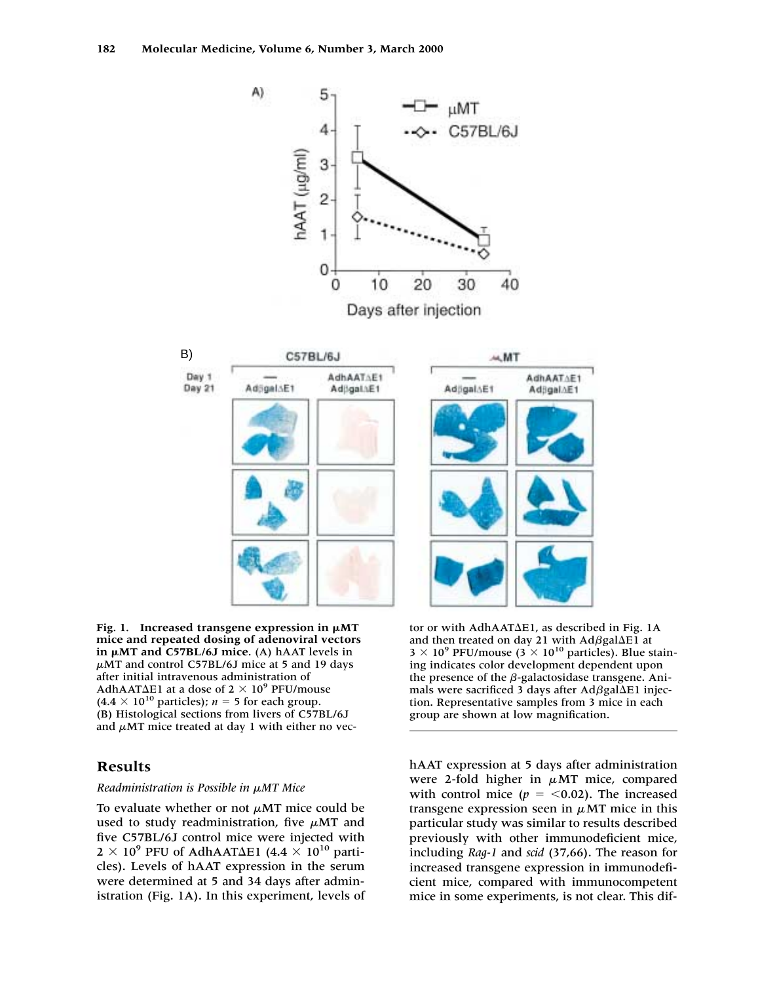

Fig. 1. Increased transgene expression in  $\mu$ MT **mice and repeated dosing of adenoviral vectors in µMT and C57BL/6J mice.** (A) hAAT levels in  $\mu$ MT and control C57BL/6J mice at 5 and 19 days after initial intravenous administration of AdhAAT $\Delta$ E1 at a dose of 2  $\times$  10<sup>9</sup> PFU/mouse  $(4.4 \times 10^{10} \text{ particles})$ ; *n* = 5 for each group. (B) Histological sections from livers of C57BL/6J and  $\mu$ MT mice treated at day 1 with either no vec-

# **Results**

### **Readministration is Possible in**  $\mu$ **MT Mice**

To evaluate whether or not  $\mu$ MT mice could be used to study readministration, five  $\mu$ MT and five C57BL/6J control mice were injected with  $2 \times 10^9$  PFU of AdhAAT $\Delta$ E1 (4.4  $\times$  10<sup>10</sup> particles). Levels of hAAT expression in the serum were determined at 5 and 34 days after administration (Fig. 1A). In this experiment, levels of

tor or with AdhAAT $\Delta$ E1, as described in Fig. 1A and then treated on day 21 with  $Ad{\beta}gal{\Delta}E1$  at  $3 \times 10^9$  PFU/mouse ( $3 \times 10^{10}$  particles). Blue staining indicates color development dependent upon the presence of the  $\beta$ -galactosidase transgene. Animals were sacrificed 3 days after  $Ad{\beta}gal{\Delta}E1$  injection. Representative samples from 3 mice in each group are shown at low magnification.

hAAT expression at 5 days after administration were 2-fold higher in  $\mu$ MT mice, compared with control mice  $(p = 0.02)$ . The increased transgene expression seen in  $\mu$ MT mice in this particular study was similar to results described previously with other immunodeficient mice, including *Rag-1* and *scid* (37,66). The reason for increased transgene expression in immunodeficient mice, compared with immunocompetent mice in some experiments, is not clear. This dif-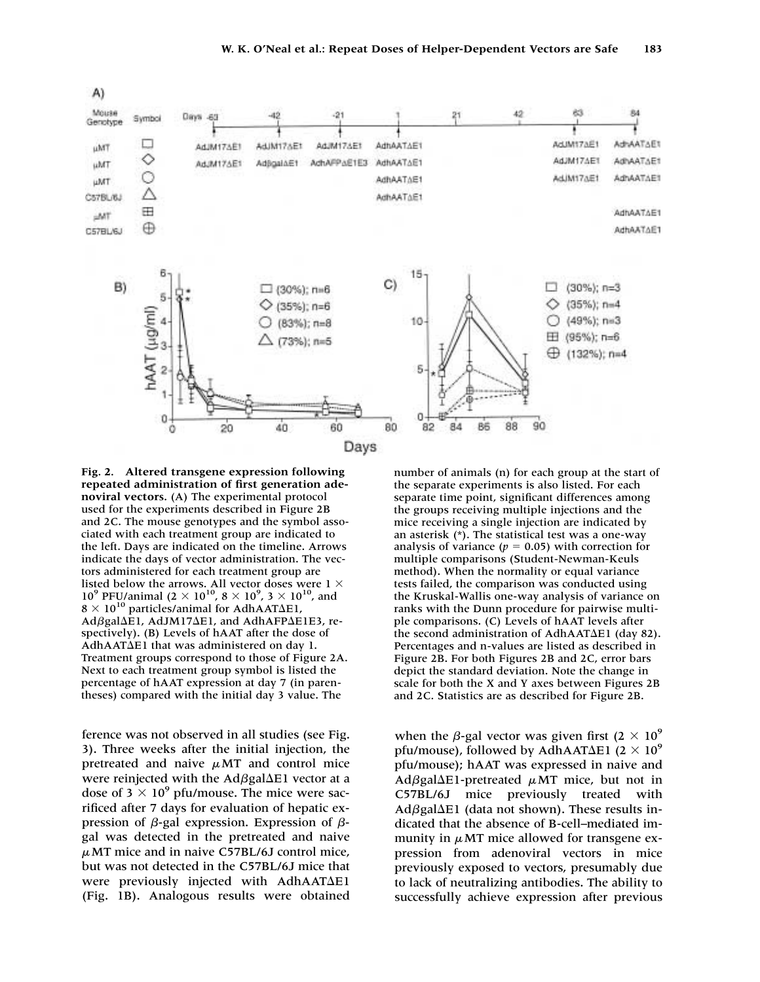

**Fig. 2. Altered transgene expression following repeated administration of first generation adenoviral vectors.** (A) The experimental protocol used for the experiments described in Figure 2B and 2C. The mouse genotypes and the symbol associated with each treatment group are indicated to the left. Days are indicated on the timeline. Arrows indicate the days of vector administration. The vectors administered for each treatment group are listed below the arrows. All vector doses were 1  $\times$ 10<sup>9</sup> PFU/animal ( $2 \times 10^{10}$ ,  $8 \times 10^{9}$ ,  $3 \times 10^{10}$ , and  $8 \times 10^{10}$  particles/animal for AdhAAT $\Delta$ E1, Adßgal $\Delta$ E1, AdJM17 $\Delta$ E1, and AdhAFP $\Delta$ E1E3, respectively). (B) Levels of hAAT after the dose of AdhAAT $\Delta$ E1 that was administered on day 1. Treatment groups correspond to those of Figure 2A. Next to each treatment group symbol is listed the percentage of hAAT expression at day 7 (in parentheses) compared with the initial day 3 value. The

ference was not observed in all studies (see Fig. 3). Three weeks after the initial injection, the pretreated and naive  $\mu$ MT and control mice were reinjected with the  $Ad{\beta}$ gal $\Delta$ E1 vector at a dose of  $3 \times 10^9$  pfu/mouse. The mice were sacrificed after 7 days for evaluation of hepatic expression of  $\beta$ -gal expression. Expression of  $\beta$ gal was detected in the pretreated and naive  $\mu$ MT mice and in naive C57BL/6J control mice, but was not detected in the C57BL/6J mice that were previously injected with AdhAATAE1 (Fig. 1B). Analogous results were obtained

number of animals (n) for each group at the start of the separate experiments is also listed. For each separate time point, significant differences among the groups receiving multiple injections and the mice receiving a single injection are indicated by an asterisk (\*). The statistical test was a one-way analysis of variance ( $p = 0.05$ ) with correction for multiple comparisons (Student-Newman-Keuls method). When the normality or equal variance tests failed, the comparison was conducted using the Kruskal-Wallis one-way analysis of variance on ranks with the Dunn procedure for pairwise multiple comparisons. (C) Levels of hAAT levels after the second administration of AdhAATAE1 (day 82). Percentages and n-values are listed as described in Figure 2B. For both Figures 2B and 2C, error bars depict the standard deviation. Note the change in scale for both the X and Y axes between Figures 2B and 2C. Statistics are as described for Figure 2B.

when the  $\beta$ -gal vector was given first (2  $\times$  10<sup>9</sup>) pfu/mouse), followed by AdhAAT $\Delta$ E1 (2  $\times$  10 $^9$ pfu/mouse); hAAT was expressed in naive and  $Ad\beta gal\Delta E1$ -pretreated  $\mu$ MT mice, but not in C57BL/6J mice previously treated with  $Ad\beta gal\Delta E1$  (data not shown). These results indicated that the absence of B-cell–mediated immunity in  $\mu$ MT mice allowed for transgene expression from adenoviral vectors in mice previously exposed to vectors, presumably due to lack of neutralizing antibodies. The ability to successfully achieve expression after previous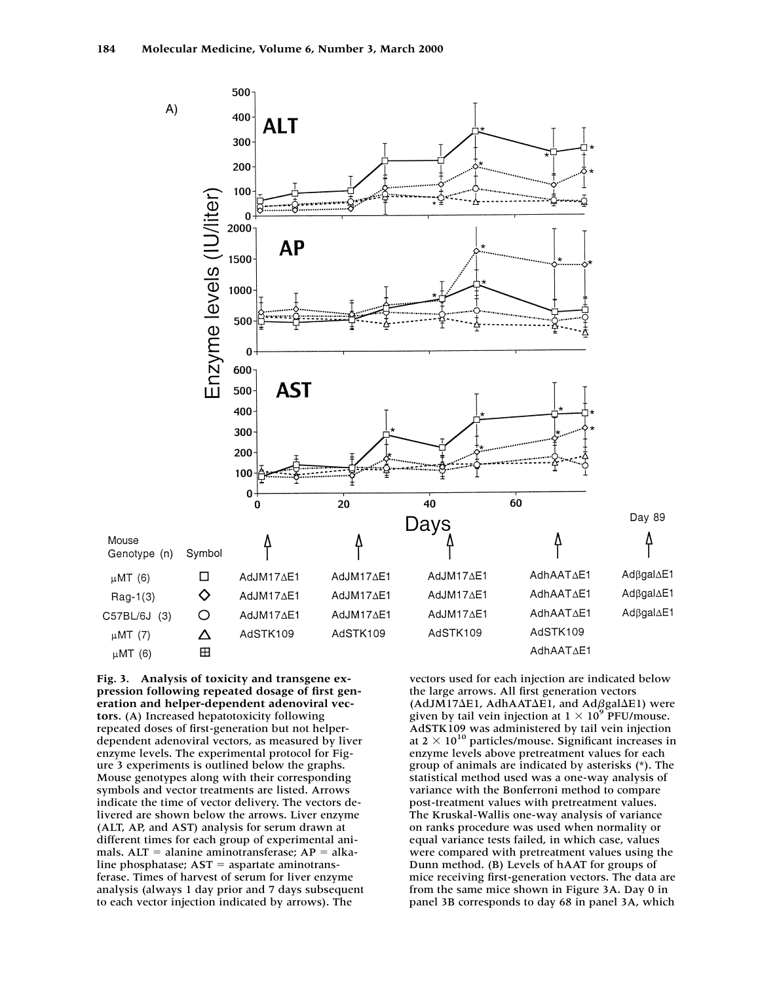

**Fig. 3. Analysis of toxicity and transgene expression following repeated dosage of first generation and helper-dependent adenoviral vectors.** (A) Increased hepatotoxicity following repeated doses of first-generation but not helperdependent adenoviral vectors, as measured by liver enzyme levels. The experimental protocol for Figure 3 experiments is outlined below the graphs. Mouse genotypes along with their corresponding symbols and vector treatments are listed. Arrows indicate the time of vector delivery. The vectors delivered are shown below the arrows. Liver enzyme (ALT, AP, and AST) analysis for serum drawn at different times for each group of experimental animals.  $ALT =$  alanine aminotransferase;  $AP =$  alkaline phosphatase;  $AST =$  aspartate aminotransferase. Times of harvest of serum for liver enzyme analysis (always 1 day prior and 7 days subsequent to each vector injection indicated by arrows). The

vectors used for each injection are indicated below the large arrows. All first generation vectors  $(AdJM17\Delta E1, AdhAAT\Delta E1, and Ad\beta gal\Delta E1)$  were given by tail vein injection at  $1 \times 10^9$  PFU/mouse. AdSTK109 was administered by tail vein injection at  $2 \times 10^{10}$  particles/mouse. Significant increases in enzyme levels above pretreatment values for each group of animals are indicated by asterisks (\*). The statistical method used was a one-way analysis of variance with the Bonferroni method to compare post-treatment values with pretreatment values. The Kruskal-Wallis one-way analysis of variance on ranks procedure was used when normality or equal variance tests failed, in which case, values were compared with pretreatment values using the Dunn method. (B) Levels of hAAT for groups of mice receiving first-generation vectors. The data are from the same mice shown in Figure 3A. Day 0 in panel 3B corresponds to day 68 in panel 3A, which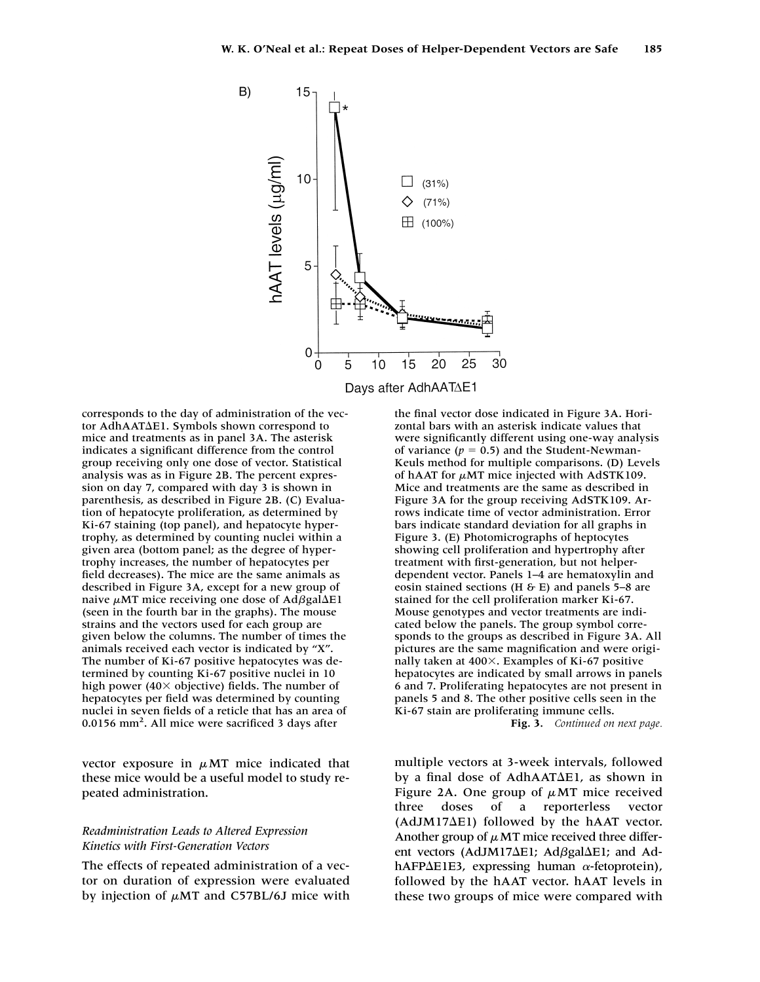

corresponds to the day of administration of the vector AdhAAT $\Delta$ E1. Symbols shown correspond to mice and treatments as in panel 3A. The asterisk indicates a significant difference from the control group receiving only one dose of vector. Statistical analysis was as in Figure 2B. The percent expression on day 7, compared with day 3 is shown in parenthesis, as described in Figure 2B. (C) Evaluation of hepatocyte proliferation, as determined by Ki-67 staining (top panel), and hepatocyte hypertrophy, as determined by counting nuclei within a given area (bottom panel; as the degree of hypertrophy increases, the number of hepatocytes per field decreases). The mice are the same animals as described in Figure 3A, except for a new group of naive  $\mu$ MT mice receiving one dose of Ad $\beta$ gal $\Delta$ E1 (seen in the fourth bar in the graphs). The mouse strains and the vectors used for each group are given below the columns. The number of times the animals received each vector is indicated by "X". The number of Ki-67 positive hepatocytes was determined by counting Ki-67 positive nuclei in 10 high power (40 $\times$  objective) fields. The number of hepatocytes per field was determined by counting nuclei in seven fields of a reticle that has an area of 0.0156 mm<sup>2</sup>. All mice were sacrificed 3 days after

vector exposure in  $\mu$ MT mice indicated that these mice would be a useful model to study repeated administration.

### *Readministration Leads to Altered Expression Kinetics with First-Generation Vectors*

The effects of repeated administration of a vector on duration of expression were evaluated by injection of  $\mu$ MT and C57BL/6J mice with

the final vector dose indicated in Figure 3A. Horizontal bars with an asterisk indicate values that were significantly different using one-way analysis of variance  $(p = 0.5)$  and the Student-Newman-Keuls method for multiple comparisons. (D) Levels of hAAT for  $\mu$ MT mice injected with AdSTK109. Mice and treatments are the same as described in Figure 3A for the group receiving AdSTK109. Arrows indicate time of vector administration. Error bars indicate standard deviation for all graphs in Figure 3. (E) Photomicrographs of heptocytes showing cell proliferation and hypertrophy after treatment with first-generation, but not helperdependent vector. Panels 1–4 are hematoxylin and eosin stained sections (H  $\&$  E) and panels 5–8 are stained for the cell proliferation marker Ki-67. Mouse genotypes and vector treatments are indicated below the panels. The group symbol corresponds to the groups as described in Figure 3A. All pictures are the same magnification and were originally taken at  $400\times$ . Examples of Ki-67 positive hepatocytes are indicated by small arrows in panels 6 and 7. Proliferating hepatocytes are not present in panels 5 and 8. The other positive cells seen in the Ki-67 stain are proliferating immune cells. **Fig. 3.** *Continued on next page.*

multiple vectors at 3-week intervals, followed by a final dose of AdhAAT $\Delta$ E1, as shown in Figure 2A. One group of  $\mu$ MT mice received three doses of a reporterless vector  $(AdJM17\Delta E1)$  followed by the hAAT vector. Another group of  $\mu$  MT mice received three different vectors (AdJM17 $\Delta$ E1; Ad $\beta$ gal $\Delta$ E1; and Ad $h$ AFP $\Delta$ E1E3, expressing human  $\alpha$ -fetoprotein), followed by the hAAT vector. hAAT levels in these two groups of mice were compared with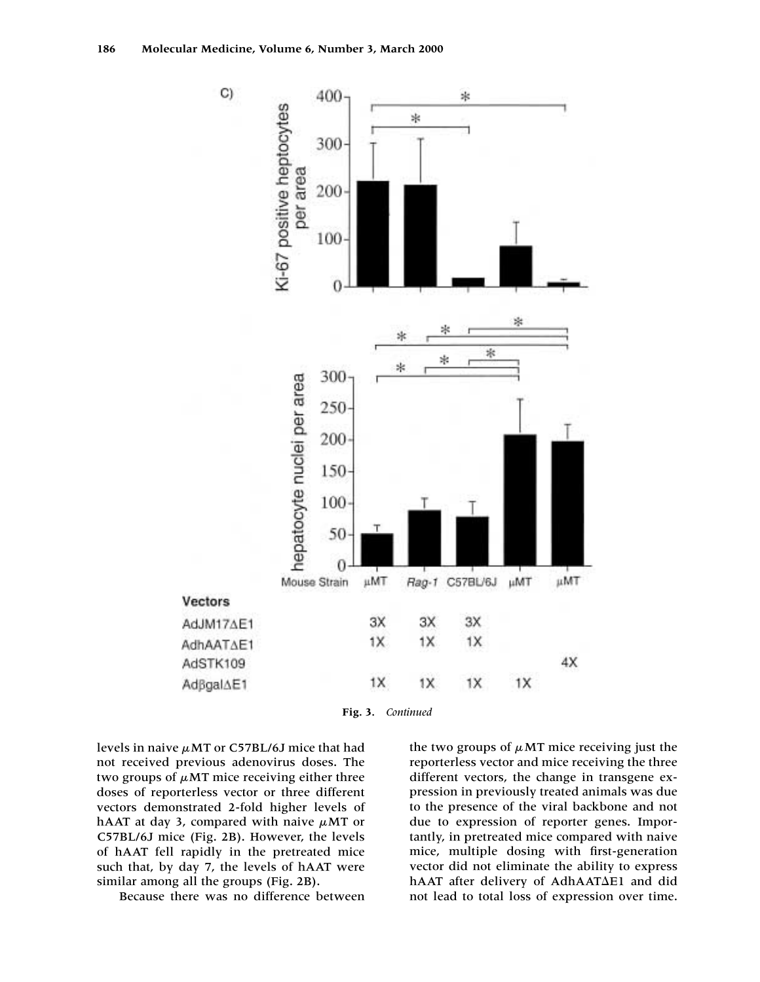

**Fig. 3.** *Continued*

levels in naive  $\mu$ MT or C57BL/6J mice that had not received previous adenovirus doses. The two groups of  $\mu$ MT mice receiving either three doses of reporterless vector or three different vectors demonstrated 2-fold higher levels of hAAT at day 3, compared with naive  $\mu$ MT or C57BL/6J mice (Fig. 2B). However, the levels of hAAT fell rapidly in the pretreated mice such that, by day 7, the levels of hAAT were similar among all the groups (Fig. 2B).

Because there was no difference between

the two groups of  $\mu$ MT mice receiving just the reporterless vector and mice receiving the three different vectors, the change in transgene expression in previously treated animals was due to the presence of the viral backbone and not due to expression of reporter genes. Importantly, in pretreated mice compared with naive mice, multiple dosing with first-generation vector did not eliminate the ability to express hAAT after delivery of AdhAAT $\Delta$ E1 and did not lead to total loss of expression over time.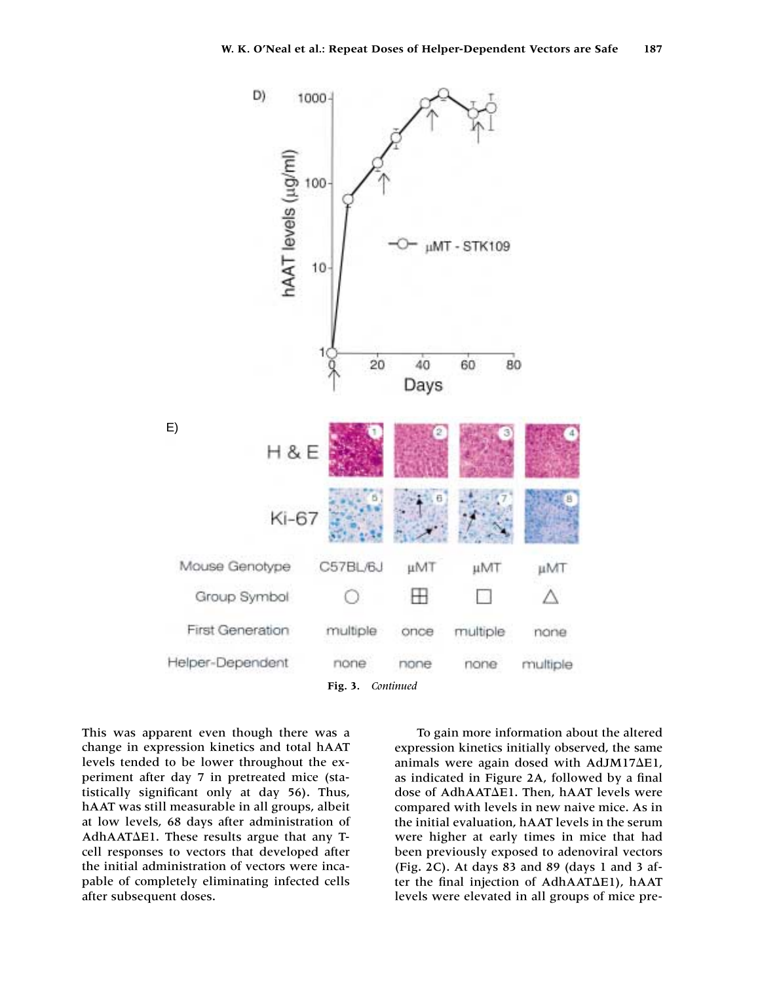

This was apparent even though there was a change in expression kinetics and total hAAT levels tended to be lower throughout the experiment after day 7 in pretreated mice (statistically significant only at day 56). Thus, hAAT was still measurable in all groups, albeit at low levels, 68 days after administration of  $AdhAAT\Delta E1$ . These results argue that any Tcell responses to vectors that developed after the initial administration of vectors were incapable of completely eliminating infected cells after subsequent doses.

To gain more information about the altered expression kinetics initially observed, the same animals were again dosed with  $AdJM17\Delta E1$ , as indicated in Figure 2A, followed by a final dose of AdhAAT $\Delta$ E1. Then, hAAT levels were compared with levels in new naive mice. As in the initial evaluation, hAAT levels in the serum were higher at early times in mice that had been previously exposed to adenoviral vectors (Fig. 2C). At days 83 and 89 (days 1 and 3 after the final injection of AdhAAT $\Delta$ E1), hAAT levels were elevated in all groups of mice pre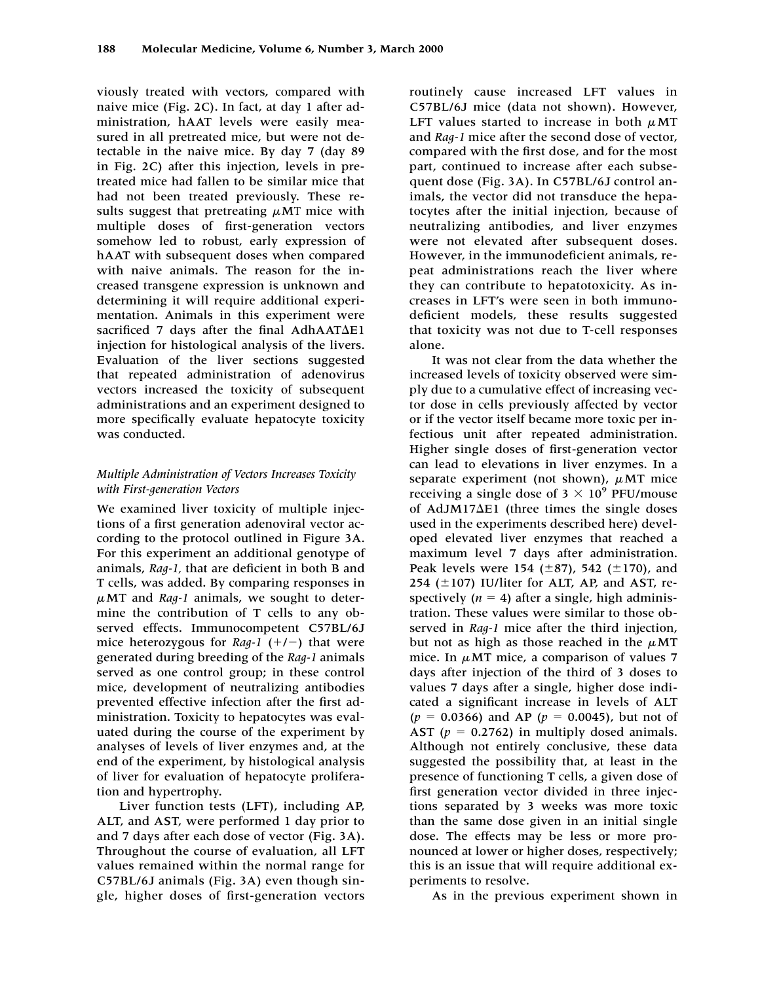viously treated with vectors, compared with naive mice (Fig. 2C). In fact, at day 1 after administration, hAAT levels were easily measured in all pretreated mice, but were not detectable in the naive mice. By day 7 (day 89 in Fig. 2C) after this injection, levels in pretreated mice had fallen to be similar mice that had not been treated previously. These results suggest that pretreating  $\mu$ MT mice with multiple doses of first-generation vectors somehow led to robust, early expression of hAAT with subsequent doses when compared with naive animals. The reason for the increased transgene expression is unknown and determining it will require additional experimentation. Animals in this experiment were sacrificed  $7$  days after the final AdhAAT $\Delta$ E1 injection for histological analysis of the livers. Evaluation of the liver sections suggested that repeated administration of adenovirus vectors increased the toxicity of subsequent administrations and an experiment designed to more specifically evaluate hepatocyte toxicity was conducted.

# *Multiple Administration of Vectors Increases Toxicity with First-generation Vectors*

We examined liver toxicity of multiple injections of a first generation adenoviral vector according to the protocol outlined in Figure 3A. For this experiment an additional genotype of animals, *Rag-1,* that are deficient in both B and T cells, was added. By comparing responses in  $\mu$ MT and *Rag-1* animals, we sought to determine the contribution of T cells to any observed effects. Immunocompetent C57BL/6J mice heterozygous for *Rag-1*  $(+/-)$  that were generated during breeding of the *Rag-1* animals served as one control group; in these control mice, development of neutralizing antibodies prevented effective infection after the first administration. Toxicity to hepatocytes was evaluated during the course of the experiment by analyses of levels of liver enzymes and, at the end of the experiment, by histological analysis of liver for evaluation of hepatocyte proliferation and hypertrophy.

Liver function tests (LFT), including AP, ALT, and AST, were performed 1 day prior to and 7 days after each dose of vector (Fig. 3A). Throughout the course of evaluation, all LFT values remained within the normal range for C57BL/6J animals (Fig. 3A) even though single, higher doses of first-generation vectors

routinely cause increased LFT values in C57BL/6J mice (data not shown). However, LFT values started to increase in both  $\mu$ MT and *Rag-1* mice after the second dose of vector, compared with the first dose, and for the most part, continued to increase after each subsequent dose (Fig. 3A). In C57BL/6J control animals, the vector did not transduce the hepatocytes after the initial injection, because of neutralizing antibodies, and liver enzymes were not elevated after subsequent doses. However, in the immunodeficient animals, repeat administrations reach the liver where they can contribute to hepatotoxicity. As increases in LFT's were seen in both immunodeficient models, these results suggested that toxicity was not due to T-cell responses alone.

It was not clear from the data whether the increased levels of toxicity observed were simply due to a cumulative effect of increasing vector dose in cells previously affected by vector or if the vector itself became more toxic per infectious unit after repeated administration. Higher single doses of first-generation vector can lead to elevations in liver enzymes. In a separate experiment (not shown),  $\mu$ MT mice receiving a single dose of  $3 \times 10^9$  PFU/mouse of AdJM17 $\Delta$ E1 (three times the single doses used in the experiments described here) developed elevated liver enzymes that reached a maximum level 7 days after administration. Peak levels were 154 ( $\pm$ 87), 542 ( $\pm$ 170), and 254 ( $\pm$ 107) IU/liter for ALT, AP, and AST, respectively  $(n = 4)$  after a single, high administration. These values were similar to those observed in *Rag-1* mice after the third injection, but not as high as those reached in the  $\mu$ MT mice. In  $\mu$ MT mice, a comparison of values 7 days after injection of the third of 3 doses to values 7 days after a single, higher dose indicated a significant increase in levels of ALT  $(p = 0.0366)$  and AP  $(p = 0.0045)$ , but not of AST  $(p = 0.2762)$  in multiply dosed animals. Although not entirely conclusive, these data suggested the possibility that, at least in the presence of functioning T cells, a given dose of first generation vector divided in three injections separated by 3 weeks was more toxic than the same dose given in an initial single dose. The effects may be less or more pronounced at lower or higher doses, respectively; this is an issue that will require additional experiments to resolve.

As in the previous experiment shown in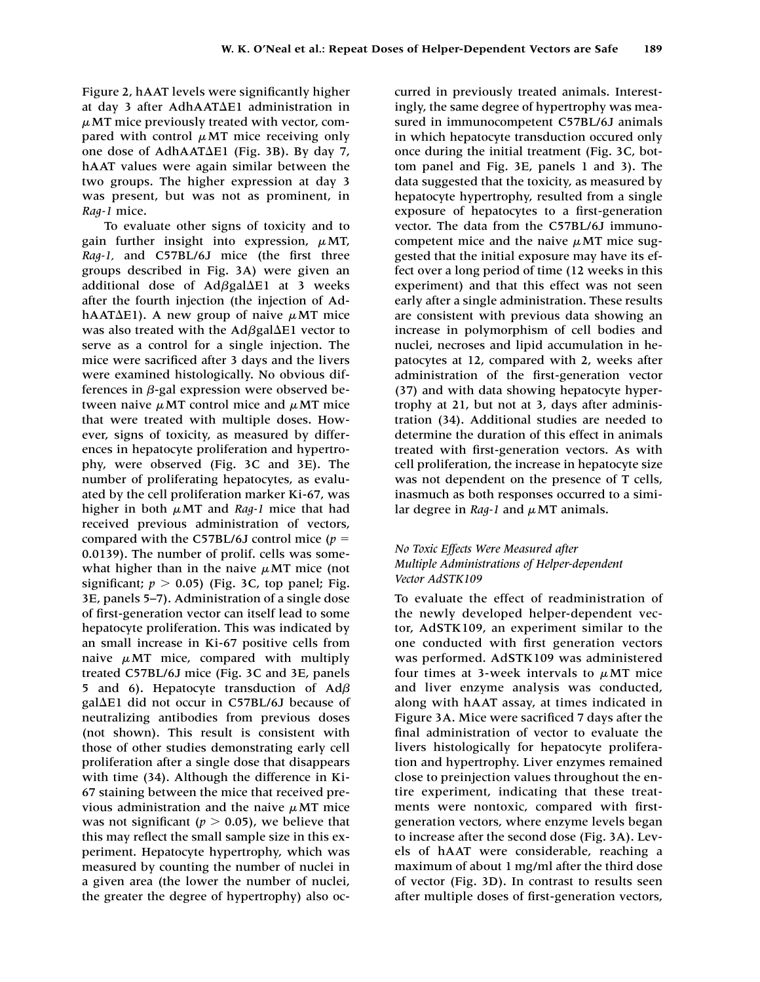Figure 2, hAAT levels were significantly higher at day 3 after AdhAAT $\Delta$ E1 administration in  $\mu$ MT mice previously treated with vector, compared with control  $\mu$ MT mice receiving only one dose of AdhAAT $\Delta$ E1 (Fig. 3B). By day 7, hAAT values were again similar between the two groups. The higher expression at day 3 was present, but was not as prominent, in *Rag-1* mice.

To evaluate other signs of toxicity and to gain further insight into expression,  $\mu$ MT, *Rag-1,* and C57BL/6J mice (the first three groups described in Fig. 3A) were given an additional dose of Ad $\beta$ gal $\Delta$ E1 at 3 weeks after the fourth injection (the injection of AdhAAT $\Delta$ E1). A new group of naive  $\mu$ MT mice was also treated with the  $Ad{\beta}gal{\Delta}El$  vector to serve as a control for a single injection. The mice were sacrificed after 3 days and the livers were examined histologically. No obvious differences in  $\beta$ -gal expression were observed between naive  $\mu$ MT control mice and  $\mu$ MT mice that were treated with multiple doses. However, signs of toxicity, as measured by differences in hepatocyte proliferation and hypertrophy, were observed (Fig. 3C and 3E). The number of proliferating hepatocytes, as evaluated by the cell proliferation marker Ki-67, was higher in both  $\mu$ MT and *Rag-1* mice that had received previous administration of vectors, compared with the C57BL/6J control mice  $(p =$ 0.0139). The number of prolif. cells was somewhat higher than in the naive  $\mu$ MT mice (not significant;  $p > 0.05$ ) (Fig. 3C, top panel; Fig. 3E, panels 5–7). Administration of a single dose of first-generation vector can itself lead to some hepatocyte proliferation. This was indicated by an small increase in Ki-67 positive cells from naive  $\mu$ MT mice, compared with multiply treated C57BL/6J mice (Fig. 3C and 3E, panels 5 and 6). Hepatocyte transduction of  $Ad\beta$ gal $\Delta$ E1 did not occur in C57BL/6J because of neutralizing antibodies from previous doses (not shown). This result is consistent with those of other studies demonstrating early cell proliferation after a single dose that disappears with time (34). Although the difference in Ki-67 staining between the mice that received previous administration and the naive  $\mu$ MT mice was not significant  $(p > 0.05)$ , we believe that this may reflect the small sample size in this experiment. Hepatocyte hypertrophy, which was measured by counting the number of nuclei in a given area (the lower the number of nuclei, the greater the degree of hypertrophy) also occurred in previously treated animals. Interestingly, the same degree of hypertrophy was measured in immunocompetent C57BL/6J animals in which hepatocyte transduction occured only once during the initial treatment (Fig. 3C, bottom panel and Fig. 3E, panels 1 and 3). The data suggested that the toxicity, as measured by hepatocyte hypertrophy, resulted from a single exposure of hepatocytes to a first-generation vector. The data from the C57BL/6J immunocompetent mice and the naive  $\mu$ MT mice suggested that the initial exposure may have its effect over a long period of time (12 weeks in this experiment) and that this effect was not seen early after a single administration. These results are consistent with previous data showing an increase in polymorphism of cell bodies and nuclei, necroses and lipid accumulation in hepatocytes at 12, compared with 2, weeks after administration of the first-generation vector (37) and with data showing hepatocyte hypertrophy at 21, but not at 3, days after administration (34). Additional studies are needed to determine the duration of this effect in animals treated with first-generation vectors. As with cell proliferation, the increase in hepatocyte size was not dependent on the presence of T cells, inasmuch as both responses occurred to a similar degree in  $\textit{Rag-1}$  and  $\mu$  MT animals.

### *No Toxic Effects Were Measured after Multiple Administrations of Helper-dependent Vector AdSTK109*

To evaluate the effect of readministration of the newly developed helper-dependent vector, AdSTK109, an experiment similar to the one conducted with first generation vectors was performed. AdSTK109 was administered four times at 3-week intervals to  $\mu$ MT mice and liver enzyme analysis was conducted, along with hAAT assay, at times indicated in Figure 3A. Mice were sacrificed 7 days after the final administration of vector to evaluate the livers histologically for hepatocyte proliferation and hypertrophy. Liver enzymes remained close to preinjection values throughout the entire experiment, indicating that these treatments were nontoxic, compared with firstgeneration vectors, where enzyme levels began to increase after the second dose (Fig. 3A). Levels of hAAT were considerable, reaching a maximum of about 1 mg/ml after the third dose of vector (Fig. 3D). In contrast to results seen after multiple doses of first-generation vectors,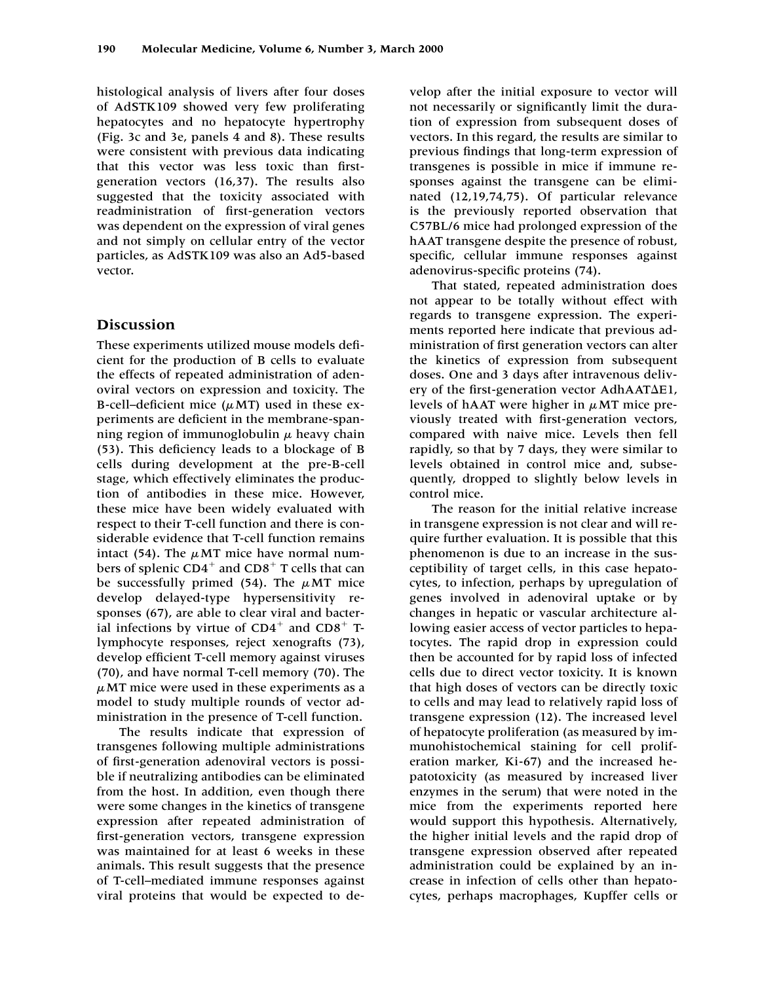histological analysis of livers after four doses of AdSTK109 showed very few proliferating hepatocytes and no hepatocyte hypertrophy (Fig. 3c and 3e, panels 4 and 8). These results were consistent with previous data indicating that this vector was less toxic than firstgeneration vectors (16,37). The results also suggested that the toxicity associated with readministration of first-generation vectors was dependent on the expression of viral genes and not simply on cellular entry of the vector particles, as AdSTK109 was also an Ad5-based vector.

# **Discussion**

These experiments utilized mouse models deficient for the production of B cells to evaluate the effects of repeated administration of adenoviral vectors on expression and toxicity. The B-cell–deficient mice  $(\mu MT)$  used in these experiments are deficient in the membrane-spanning region of immunoglobulin  $\mu$  heavy chain (53). This deficiency leads to a blockage of B cells during development at the pre-B-cell stage, which effectively eliminates the production of antibodies in these mice. However, these mice have been widely evaluated with respect to their T-cell function and there is considerable evidence that T-cell function remains intact (54). The  $\mu$ MT mice have normal numbers of splenic  $CD4^+$  and  $CD8^+$  T cells that can be successfully primed  $(54)$ . The  $\mu$ MT mice develop delayed-type hypersensitivity responses (67), are able to clear viral and bacterial infections by virtue of  $CD4^+$  and  $CD8^+$  Tlymphocyte responses, reject xenografts (73), develop efficient T-cell memory against viruses (70), and have normal T-cell memory (70). The  $\mu$ MT mice were used in these experiments as a model to study multiple rounds of vector administration in the presence of T-cell function.

The results indicate that expression of transgenes following multiple administrations of first-generation adenoviral vectors is possible if neutralizing antibodies can be eliminated from the host. In addition, even though there were some changes in the kinetics of transgene expression after repeated administration of first-generation vectors, transgene expression was maintained for at least 6 weeks in these animals. This result suggests that the presence of T-cell–mediated immune responses against viral proteins that would be expected to de-

velop after the initial exposure to vector will not necessarily or significantly limit the duration of expression from subsequent doses of vectors. In this regard, the results are similar to previous findings that long-term expression of transgenes is possible in mice if immune responses against the transgene can be eliminated (12,19,74,75). Of particular relevance is the previously reported observation that C57BL/6 mice had prolonged expression of the hAAT transgene despite the presence of robust, specific, cellular immune responses against adenovirus-specific proteins (74).

That stated, repeated administration does not appear to be totally without effect with regards to transgene expression. The experiments reported here indicate that previous administration of first generation vectors can alter the kinetics of expression from subsequent doses. One and 3 days after intravenous delivery of the first-generation vector  $AdhAAT\Delta E1$ , levels of hAAT were higher in  $\mu$ MT mice previously treated with first-generation vectors, compared with naive mice. Levels then fell rapidly, so that by 7 days, they were similar to levels obtained in control mice and, subsequently, dropped to slightly below levels in control mice.

The reason for the initial relative increase in transgene expression is not clear and will require further evaluation. It is possible that this phenomenon is due to an increase in the susceptibility of target cells, in this case hepatocytes, to infection, perhaps by upregulation of genes involved in adenoviral uptake or by changes in hepatic or vascular architecture allowing easier access of vector particles to hepatocytes. The rapid drop in expression could then be accounted for by rapid loss of infected cells due to direct vector toxicity. It is known that high doses of vectors can be directly toxic to cells and may lead to relatively rapid loss of transgene expression (12). The increased level of hepatocyte proliferation (as measured by immunohistochemical staining for cell proliferation marker, Ki-67) and the increased hepatotoxicity (as measured by increased liver enzymes in the serum) that were noted in the mice from the experiments reported here would support this hypothesis. Alternatively, the higher initial levels and the rapid drop of transgene expression observed after repeated administration could be explained by an increase in infection of cells other than hepatocytes, perhaps macrophages, Kupffer cells or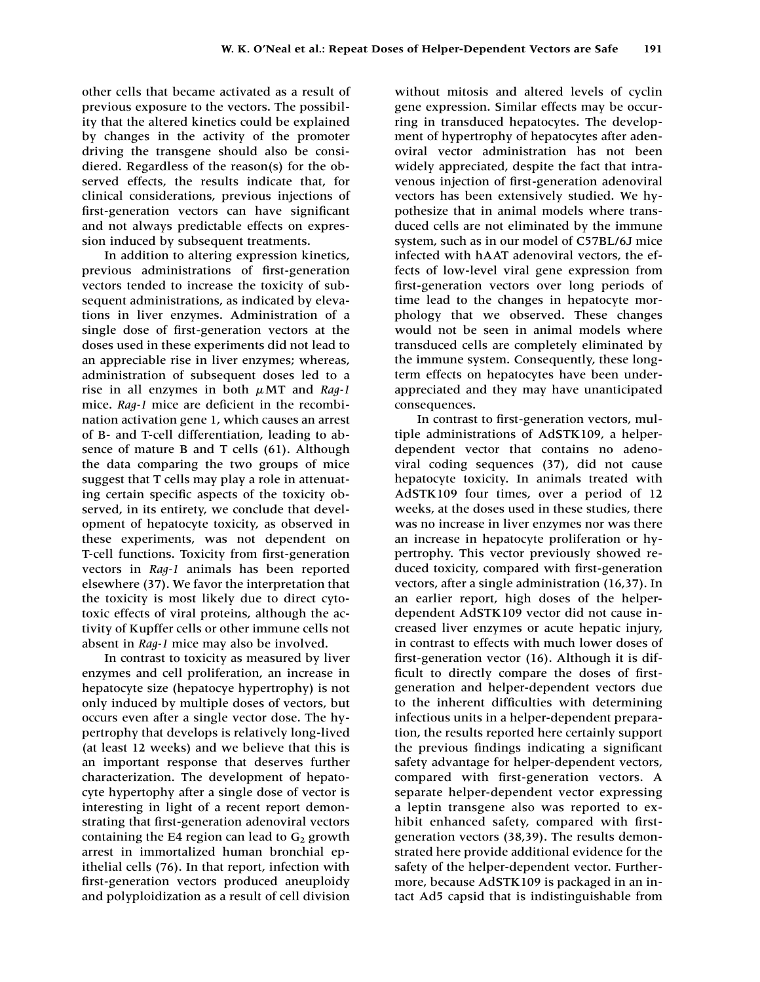other cells that became activated as a result of previous exposure to the vectors. The possibility that the altered kinetics could be explained by changes in the activity of the promoter driving the transgene should also be considiered. Regardless of the reason(s) for the observed effects, the results indicate that, for clinical considerations, previous injections of first-generation vectors can have significant and not always predictable effects on expression induced by subsequent treatments.

In addition to altering expression kinetics, previous administrations of first-generation vectors tended to increase the toxicity of subsequent administrations, as indicated by elevations in liver enzymes. Administration of a single dose of first-generation vectors at the doses used in these experiments did not lead to an appreciable rise in liver enzymes; whereas, administration of subsequent doses led to a rise in all enzymes in both  $\mu$ MT and *Rag-1* mice. *Rag-1* mice are deficient in the recombination activation gene 1, which causes an arrest of B- and T-cell differentiation, leading to absence of mature B and T cells (61). Although the data comparing the two groups of mice suggest that T cells may play a role in attenuating certain specific aspects of the toxicity observed, in its entirety, we conclude that development of hepatocyte toxicity, as observed in these experiments, was not dependent on T-cell functions. Toxicity from first-generation vectors in *Rag-1* animals has been reported elsewhere (37). We favor the interpretation that the toxicity is most likely due to direct cytotoxic effects of viral proteins, although the activity of Kupffer cells or other immune cells not absent in *Rag-1* mice may also be involved.

In contrast to toxicity as measured by liver enzymes and cell proliferation, an increase in hepatocyte size (hepatocye hypertrophy) is not only induced by multiple doses of vectors, but occurs even after a single vector dose. The hypertrophy that develops is relatively long-lived (at least 12 weeks) and we believe that this is an important response that deserves further characterization. The development of hepatocyte hypertophy after a single dose of vector is interesting in light of a recent report demonstrating that first-generation adenoviral vectors containing the E4 region can lead to  $G_2$  growth arrest in immortalized human bronchial epithelial cells (76). In that report, infection with first-generation vectors produced aneuploidy and polyploidization as a result of cell division without mitosis and altered levels of cyclin gene expression. Similar effects may be occurring in transduced hepatocytes. The development of hypertrophy of hepatocytes after adenoviral vector administration has not been widely appreciated, despite the fact that intravenous injection of first-generation adenoviral vectors has been extensively studied. We hypothesize that in animal models where transduced cells are not eliminated by the immune system, such as in our model of C57BL/6J mice infected with hAAT adenoviral vectors, the effects of low-level viral gene expression from first-generation vectors over long periods of time lead to the changes in hepatocyte morphology that we observed. These changes would not be seen in animal models where transduced cells are completely eliminated by the immune system. Consequently, these longterm effects on hepatocytes have been underappreciated and they may have unanticipated consequences.

In contrast to first-generation vectors, multiple administrations of AdSTK109, a helperdependent vector that contains no adenoviral coding sequences (37), did not cause hepatocyte toxicity. In animals treated with AdSTK109 four times, over a period of 12 weeks, at the doses used in these studies, there was no increase in liver enzymes nor was there an increase in hepatocyte proliferation or hypertrophy. This vector previously showed reduced toxicity, compared with first-generation vectors, after a single administration (16,37). In an earlier report, high doses of the helperdependent AdSTK109 vector did not cause increased liver enzymes or acute hepatic injury, in contrast to effects with much lower doses of first-generation vector (16). Although it is difficult to directly compare the doses of firstgeneration and helper-dependent vectors due to the inherent difficulties with determining infectious units in a helper-dependent preparation, the results reported here certainly support the previous findings indicating a significant safety advantage for helper-dependent vectors, compared with first-generation vectors. A separate helper-dependent vector expressing a leptin transgene also was reported to exhibit enhanced safety, compared with firstgeneration vectors (38,39). The results demonstrated here provide additional evidence for the safety of the helper-dependent vector. Furthermore, because AdSTK109 is packaged in an intact Ad5 capsid that is indistinguishable from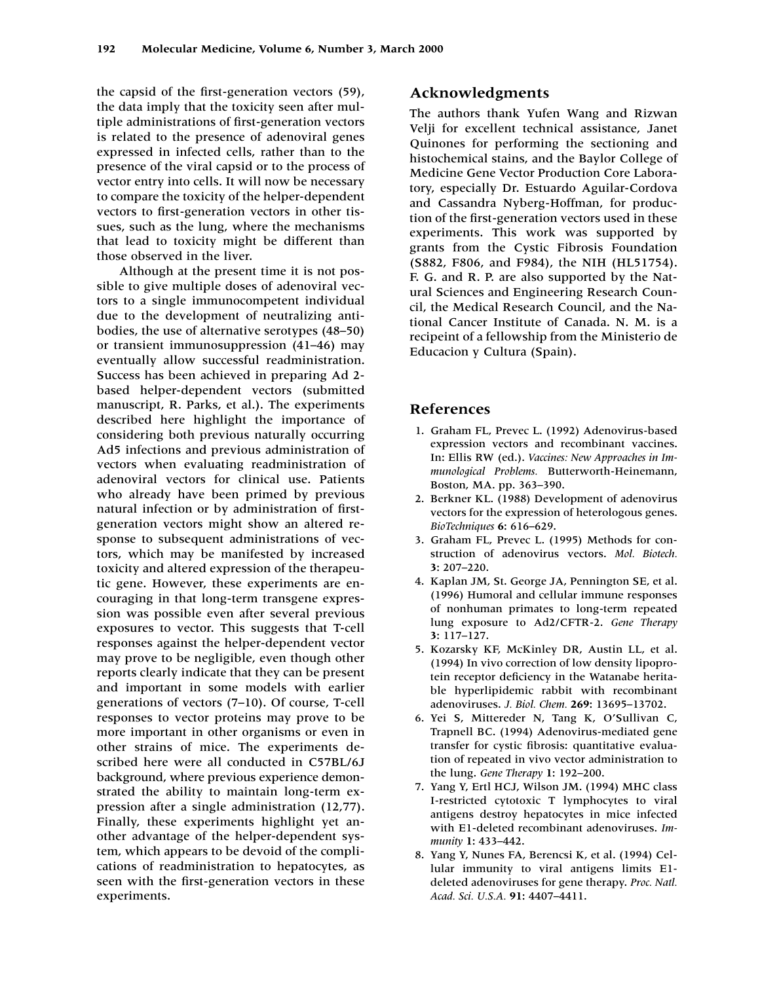the capsid of the first-generation vectors (59), the data imply that the toxicity seen after multiple administrations of first-generation vectors is related to the presence of adenoviral genes expressed in infected cells, rather than to the presence of the viral capsid or to the process of vector entry into cells. It will now be necessary to compare the toxicity of the helper-dependent vectors to first-generation vectors in other tissues, such as the lung, where the mechanisms that lead to toxicity might be different than those observed in the liver.

Although at the present time it is not possible to give multiple doses of adenoviral vectors to a single immunocompetent individual due to the development of neutralizing antibodies, the use of alternative serotypes (48–50) or transient immunosuppression (41–46) may eventually allow successful readministration. Success has been achieved in preparing Ad 2 based helper-dependent vectors (submitted manuscript, R. Parks, et al.). The experiments described here highlight the importance of considering both previous naturally occurring Ad5 infections and previous administration of vectors when evaluating readministration of adenoviral vectors for clinical use. Patients who already have been primed by previous natural infection or by administration of firstgeneration vectors might show an altered response to subsequent administrations of vectors, which may be manifested by increased toxicity and altered expression of the therapeutic gene. However, these experiments are encouraging in that long-term transgene expression was possible even after several previous exposures to vector. This suggests that T-cell responses against the helper-dependent vector may prove to be negligible, even though other reports clearly indicate that they can be present and important in some models with earlier generations of vectors (7–10). Of course, T-cell responses to vector proteins may prove to be more important in other organisms or even in other strains of mice. The experiments described here were all conducted in C57BL/6J background, where previous experience demonstrated the ability to maintain long-term expression after a single administration (12,77). Finally, these experiments highlight yet another advantage of the helper-dependent system, which appears to be devoid of the complications of readministration to hepatocytes, as seen with the first-generation vectors in these experiments.

# **Acknowledgments**

The authors thank Yufen Wang and Rizwan Velji for excellent technical assistance, Janet Quinones for performing the sectioning and histochemical stains, and the Baylor College of Medicine Gene Vector Production Core Laboratory, especially Dr. Estuardo Aguilar-Cordova and Cassandra Nyberg-Hoffman, for production of the first-generation vectors used in these experiments. This work was supported by grants from the Cystic Fibrosis Foundation (S882, F806, and F984), the NIH (HL51754). F. G. and R. P. are also supported by the Natural Sciences and Engineering Research Council, the Medical Research Council, and the National Cancer Institute of Canada. N. M. is a recipeint of a fellowship from the Ministerio de Educacion y Cultura (Spain).

# **References**

- 1. Graham FL, Prevec L. (1992) Adenovirus-based expression vectors and recombinant vaccines. In: Ellis RW (ed.). *Vaccines: New Approaches in Immunological Problems.* Butterworth-Heinemann, Boston, MA. pp. 363–390.
- 2. Berkner KL. (1988) Development of adenovirus vectors for the expression of heterologous genes. *BioTechniques* **6:** 616–629.
- 3. Graham FL, Prevec L. (1995) Methods for construction of adenovirus vectors. *Mol. Biotech.* **3:** 207–220.
- 4. Kaplan JM, St. George JA, Pennington SE, et al. (1996) Humoral and cellular immune responses of nonhuman primates to long-term repeated lung exposure to Ad2/CFTR-2. *Gene Therapy* **3:** 117–127.
- 5. Kozarsky KF, McKinley DR, Austin LL, et al. (1994) In vivo correction of low density lipoprotein receptor deficiency in the Watanabe heritable hyperlipidemic rabbit with recombinant adenoviruses. *J. Biol. Chem.* **269:** 13695–13702.
- 6. Yei S, Mittereder N, Tang K, O'Sullivan C, Trapnell BC. (1994) Adenovirus-mediated gene transfer for cystic fibrosis: quantitative evaluation of repeated in vivo vector administration to the lung. *Gene Therapy* **1:** 192–200.
- 7. Yang Y, Ertl HCJ, Wilson JM. (1994) MHC class I-restricted cytotoxic T lymphocytes to viral antigens destroy hepatocytes in mice infected with E1-deleted recombinant adenoviruses. *Immunity* **1:** 433–442.
- 8. Yang Y, Nunes FA, Berencsi K, et al. (1994) Cellular immunity to viral antigens limits E1 deleted adenoviruses for gene therapy. *Proc. Natl. Acad. Sci. U.S.A.* **91:** 4407–4411.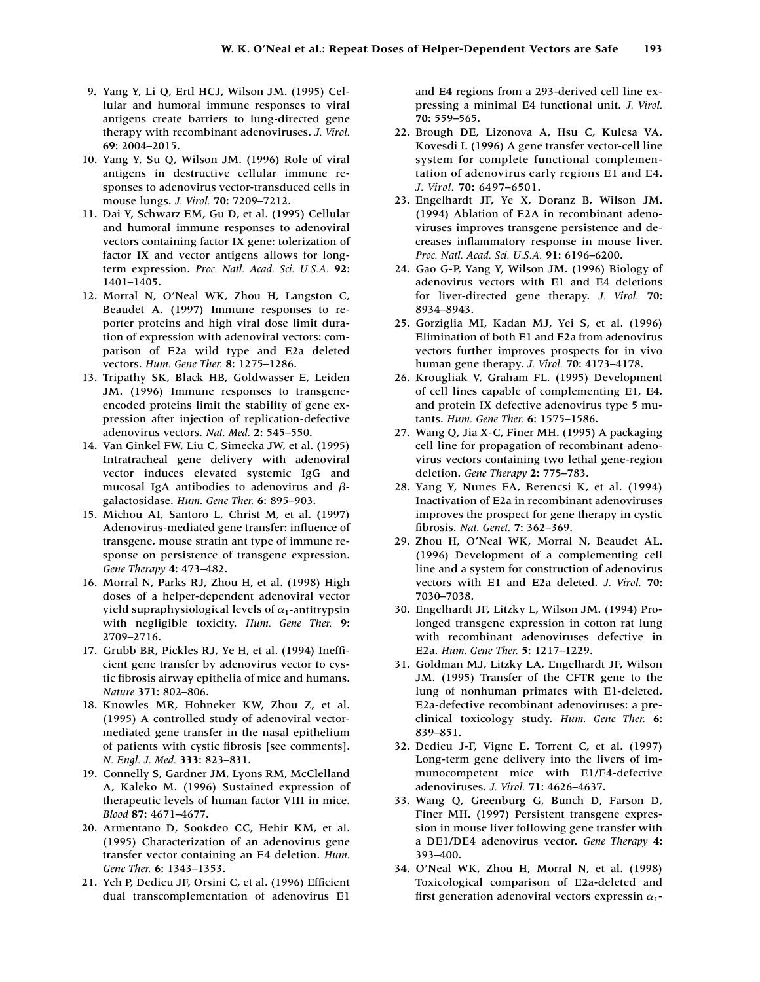- 9. Yang Y, Li Q, Ertl HCJ, Wilson JM. (1995) Cellular and humoral immune responses to viral antigens create barriers to lung-directed gene therapy with recombinant adenoviruses. *J. Virol.* **69:** 2004–2015.
- 10. Yang Y, Su Q, Wilson JM. (1996) Role of viral antigens in destructive cellular immune responses to adenovirus vector-transduced cells in mouse lungs. *J. Virol.* **70:** 7209–7212.
- 11. Dai Y, Schwarz EM, Gu D, et al. (1995) Cellular and humoral immune responses to adenoviral vectors containing factor IX gene: tolerization of factor IX and vector antigens allows for longterm expression. *Proc. Natl. Acad. Sci. U.S.A.* **92:** 1401–1405.
- 12. Morral N, O'Neal WK, Zhou H, Langston C, Beaudet A. (1997) Immune responses to reporter proteins and high viral dose limit duration of expression with adenoviral vectors: comparison of E2a wild type and E2a deleted vectors. *Hum. Gene Ther.* **8:** 1275–1286.
- 13. Tripathy SK, Black HB, Goldwasser E, Leiden JM. (1996) Immune responses to transgeneencoded proteins limit the stability of gene expression after injection of replication-defective adenovirus vectors. *Nat. Med.* **2:** 545–550.
- 14. Van Ginkel FW, Liu C, Simecka JW, et al. (1995) Intratracheal gene delivery with adenoviral vector induces elevated systemic IgG and mucosal IgA antibodies to adenovirus and  $\beta$ galactosidase. *Hum. Gene Ther.* **6:** 895–903.
- 15. Michou AI, Santoro L, Christ M, et al. (1997) Adenovirus-mediated gene transfer: influence of transgene, mouse stratin ant type of immune response on persistence of transgene expression. *Gene Therapy* **4:** 473–482.
- 16. Morral N, Parks RJ, Zhou H, et al. (1998) High doses of a helper-dependent adenoviral vector yield supraphysiological levels of  $\alpha_1$ -antitrypsin with negligible toxicity. *Hum. Gene Ther.* **9:** 2709–2716.
- 17. Grubb BR, Pickles RJ, Ye H, et al. (1994) Inefficient gene transfer by adenovirus vector to cystic fibrosis airway epithelia of mice and humans. *Nature* **371:** 802–806.
- 18. Knowles MR, Hohneker KW, Zhou Z, et al. (1995) A controlled study of adenoviral vectormediated gene transfer in the nasal epithelium of patients with cystic fibrosis [see comments]. *N. Engl. J. Med.* **333:** 823–831.
- 19. Connelly S, Gardner JM, Lyons RM, McClelland A, Kaleko M. (1996) Sustained expression of therapeutic levels of human factor VIII in mice. *Blood* **87:** 4671–4677.
- 20. Armentano D, Sookdeo CC, Hehir KM, et al. (1995) Characterization of an adenovirus gene transfer vector containing an E4 deletion. *Hum. Gene Ther.* **6:** 1343–1353.
- 21. Yeh P, Dedieu JF, Orsini C, et al. (1996) Efficient dual transcomplementation of adenovirus E1

and E4 regions from a 293-derived cell line expressing a minimal E4 functional unit. *J. Virol.* **70:** 559–565.

- 22. Brough DE, Lizonova A, Hsu C, Kulesa VA, Kovesdi I. (1996) A gene transfer vector-cell line system for complete functional complementation of adenovirus early regions E1 and E4. *J. Virol.* **70:** 6497–6501.
- 23. Engelhardt JF, Ye X, Doranz B, Wilson JM. (1994) Ablation of E2A in recombinant adenoviruses improves transgene persistence and decreases inflammatory response in mouse liver. *Proc. Natl. Acad. Sci. U.S.A.* **91:** 6196–6200.
- 24. Gao G-P, Yang Y, Wilson JM. (1996) Biology of adenovirus vectors with E1 and E4 deletions for liver-directed gene therapy. *J. Virol.* **70:** 8934–8943.
- 25. Gorziglia MI, Kadan MJ, Yei S, et al. (1996) Elimination of both E1 and E2a from adenovirus vectors further improves prospects for in vivo human gene therapy. *J. Virol.* **70:** 4173–4178.
- 26. Krougliak V, Graham FL. (1995) Development of cell lines capable of complementing E1, E4, and protein IX defective adenovirus type 5 mutants. *Hum. Gene Ther.* **6:** 1575–1586.
- 27. Wang Q, Jia X-C, Finer MH. (1995) A packaging cell line for propagation of recombinant adenovirus vectors containing two lethal gene-region deletion. *Gene Therapy* **2:** 775–783.
- 28. Yang Y, Nunes FA, Berencsi K, et al. (1994) Inactivation of E2a in recombinant adenoviruses improves the prospect for gene therapy in cystic fibrosis. *Nat. Genet.* **7:** 362–369.
- 29. Zhou H, O'Neal WK, Morral N, Beaudet AL. (1996) Development of a complementing cell line and a system for construction of adenovirus vectors with E1 and E2a deleted. *J. Virol.* **70:** 7030–7038.
- 30. Engelhardt JF, Litzky L, Wilson JM. (1994) Prolonged transgene expression in cotton rat lung with recombinant adenoviruses defective in E2a. *Hum. Gene Ther.* **5:** 1217–1229.
- 31. Goldman MJ, Litzky LA, Engelhardt JF, Wilson JM. (1995) Transfer of the CFTR gene to the lung of nonhuman primates with E1-deleted, E2a-defective recombinant adenoviruses: a preclinical toxicology study. *Hum. Gene Ther.* **6:** 839–851.
- 32. Dedieu J-F, Vigne E, Torrent C, et al. (1997) Long-term gene delivery into the livers of immunocompetent mice with E1/E4-defective adenoviruses. *J. Virol.* **71:** 4626–4637.
- 33. Wang Q, Greenburg G, Bunch D, Farson D, Finer MH. (1997) Persistent transgene expression in mouse liver following gene transfer with a DE1/DE4 adenovirus vector. *Gene Therapy* **4:** 393–400.
- 34. O'Neal WK, Zhou H, Morral N, et al. (1998) Toxicological comparison of E2a-deleted and first generation adenoviral vectors expressin  $\alpha_1$ -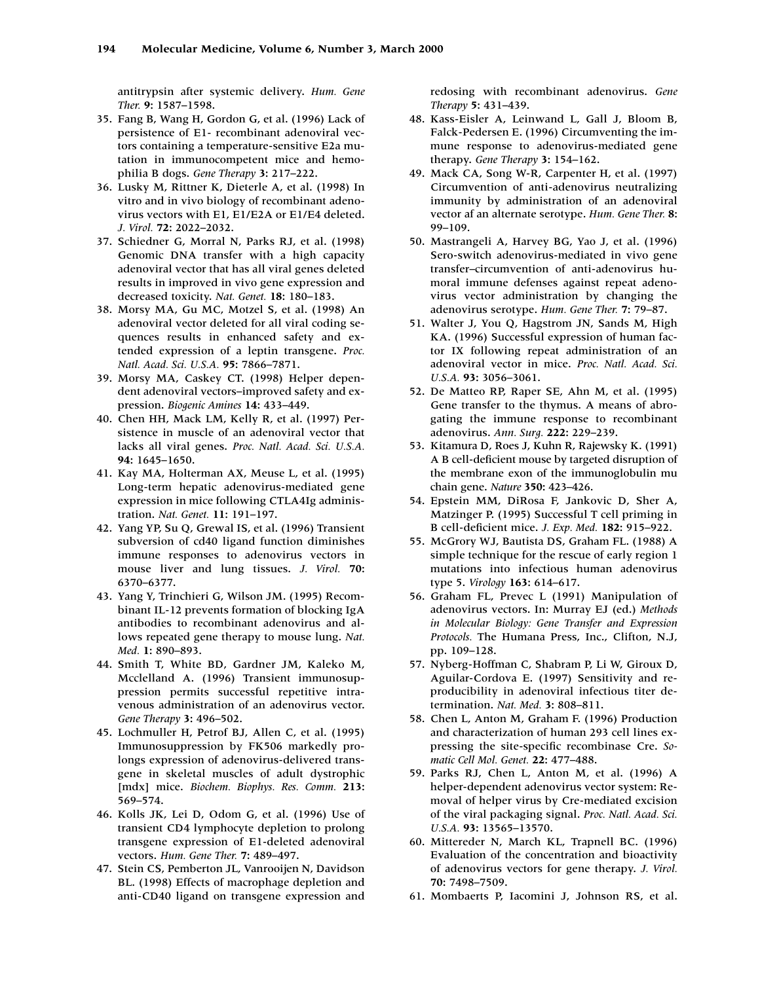antitrypsin after systemic delivery. *Hum. Gene Ther.* **9:** 1587–1598.

- 35. Fang B, Wang H, Gordon G, et al. (1996) Lack of persistence of E1- recombinant adenoviral vectors containing a temperature-sensitive E2a mutation in immunocompetent mice and hemophilia B dogs. *Gene Therapy* **3:** 217–222.
- 36. Lusky M, Rittner K, Dieterle A, et al. (1998) In vitro and in vivo biology of recombinant adenovirus vectors with E1, E1/E2A or E1/E4 deleted. *J. Virol.* **72:** 2022–2032.
- 37. Schiedner G, Morral N, Parks RJ, et al. (1998) Genomic DNA transfer with a high capacity adenoviral vector that has all viral genes deleted results in improved in vivo gene expression and decreased toxicity. *Nat. Genet.* **18:** 180–183.
- 38. Morsy MA, Gu MC, Motzel S, et al. (1998) An adenoviral vector deleted for all viral coding sequences results in enhanced safety and extended expression of a leptin transgene. *Proc. Natl. Acad. Sci. U.S.A.* **95:** 7866–7871.
- 39. Morsy MA, Caskey CT. (1998) Helper dependent adenoviral vectors–improved safety and expression. *Biogenic Amines* **14:** 433–449.
- 40. Chen HH, Mack LM, Kelly R, et al. (1997) Persistence in muscle of an adenoviral vector that lacks all viral genes. *Proc. Natl. Acad. Sci. U.S.A.* **94:** 1645–1650.
- 41. Kay MA, Holterman AX, Meuse L, et al. (1995) Long-term hepatic adenovirus-mediated gene expression in mice following CTLA4Ig administration. *Nat. Genet.* **11:** 191–197.
- 42. Yang YP, Su Q, Grewal IS, et al. (1996) Transient subversion of cd40 ligand function diminishes immune responses to adenovirus vectors in mouse liver and lung tissues. *J. Virol.* **70:** 6370–6377.
- 43. Yang Y, Trinchieri G, Wilson JM. (1995) Recombinant IL-12 prevents formation of blocking IgA antibodies to recombinant adenovirus and allows repeated gene therapy to mouse lung. *Nat. Med.* **1:** 890–893.
- 44. Smith T, White BD, Gardner JM, Kaleko M, Mcclelland A. (1996) Transient immunosuppression permits successful repetitive intravenous administration of an adenovirus vector. *Gene Therapy* **3:** 496–502.
- 45. Lochmuller H, Petrof BJ, Allen C, et al. (1995) Immunosuppression by FK506 markedly prolongs expression of adenovirus-delivered transgene in skeletal muscles of adult dystrophic [mdx] mice. *Biochem. Biophys. Res. Comm.* **213:** 569–574.
- 46. Kolls JK, Lei D, Odom G, et al. (1996) Use of transient CD4 lymphocyte depletion to prolong transgene expression of E1-deleted adenoviral vectors. *Hum. Gene Ther.* **7:** 489–497.
- 47. Stein CS, Pemberton JL, Vanrooijen N, Davidson BL. (1998) Effects of macrophage depletion and anti-CD40 ligand on transgene expression and

redosing with recombinant adenovirus. *Gene Therapy* **5:** 431–439.

- 48. Kass-Eisler A, Leinwand L, Gall J, Bloom B, Falck-Pedersen E. (1996) Circumventing the immune response to adenovirus-mediated gene therapy. *Gene Therapy* **3:** 154–162.
- 49. Mack CA, Song W-R, Carpenter H, et al. (1997) Circumvention of anti-adenovirus neutralizing immunity by administration of an adenoviral vector af an alternate serotype. *Hum. Gene Ther.* **8:** 99–109.
- 50. Mastrangeli A, Harvey BG, Yao J, et al. (1996) Sero-switch adenovirus-mediated in vivo gene transfer–circumvention of anti-adenovirus humoral immune defenses against repeat adenovirus vector administration by changing the adenovirus serotype. *Hum. Gene Ther.* **7:** 79–87.
- 51. Walter J, You Q, Hagstrom JN, Sands M, High KA. (1996) Successful expression of human factor IX following repeat administration of an adenoviral vector in mice. *Proc. Natl. Acad. Sci. U.S.A.* **93:** 3056–3061.
- 52. De Matteo RP, Raper SE, Ahn M, et al. (1995) Gene transfer to the thymus. A means of abrogating the immune response to recombinant adenovirus. *Ann. Surg.* **222:** 229–239.
- 53. Kitamura D, Roes J, Kuhn R, Rajewsky K. (1991) A B cell-deficient mouse by targeted disruption of the membrane exon of the immunoglobulin mu chain gene. *Nature* **350:** 423–426.
- 54. Epstein MM, DiRosa F, Jankovic D, Sher A, Matzinger P. (1995) Successful T cell priming in B cell-deficient mice. *J. Exp. Med.* **182:** 915–922.
- 55. McGrory WJ, Bautista DS, Graham FL. (1988) A simple technique for the rescue of early region 1 mutations into infectious human adenovirus type 5. *Virology* **163:** 614–617.
- 56. Graham FL, Prevec L (1991) Manipulation of adenovirus vectors. In: Murray EJ (ed.) *Methods in Molecular Biology: Gene Transfer and Expression Protocols.* The Humana Press, Inc., Clifton, N.J, pp. 109–128.
- 57. Nyberg-Hoffman C, Shabram P, Li W, Giroux D, Aguilar-Cordova E. (1997) Sensitivity and reproducibility in adenoviral infectious titer determination. *Nat. Med.* **3:** 808–811.
- 58. Chen L, Anton M, Graham F. (1996) Production and characterization of human 293 cell lines expressing the site-specific recombinase Cre. *Somatic Cell Mol. Genet.* **22:** 477–488.
- 59. Parks RJ, Chen L, Anton M, et al. (1996) A helper-dependent adenovirus vector system: Removal of helper virus by Cre-mediated excision of the viral packaging signal. *Proc. Natl. Acad. Sci. U.S.A.* **93:** 13565–13570.
- 60. Mittereder N, March KL, Trapnell BC. (1996) Evaluation of the concentration and bioactivity of adenovirus vectors for gene therapy. *J. Virol.* **70:** 7498–7509.
- 61. Mombaerts P, Iacomini J, Johnson RS, et al.